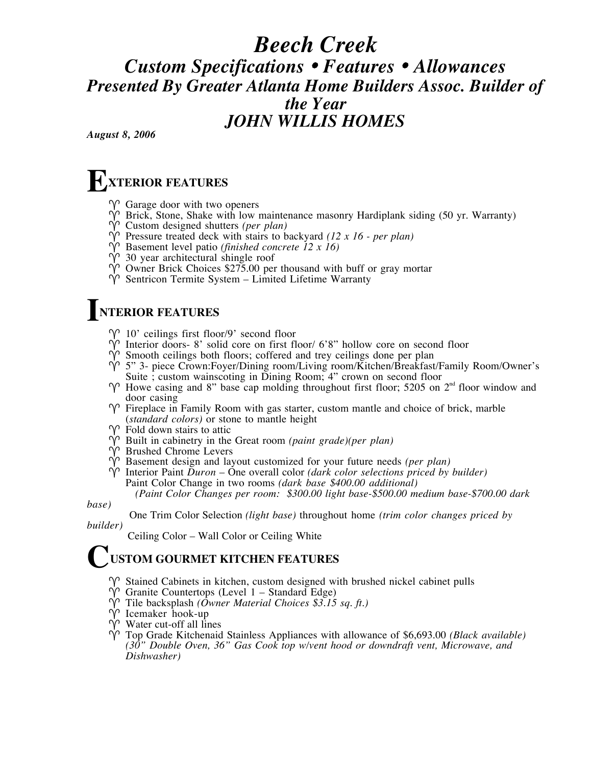### *Beech Creek Custom Specifications* • *Features* • *Allowances Presented By Greater Atlanta Home Builders Assoc. Builder of the Year JOHN WILLIS HOMES*

*August 8, 2006*

#### **XTERIOR FEATURES E**

- $\gamma$  Garage door with two openers
- $\hat{Y}$  Brick, Stone, Shake with low maintenance masonry Hardiplank siding (50 yr. Warranty)
- Custom designed shutters *(per plan)*
- $\hat{P}$  Pressure treated deck with stairs to backyard *(12 x 16 per plan)*
- Basement level patio *(finished concrete 12 x 16)*
- $\hat{Y}$  30 year architectural shingle roof
- $\hat{Y}$  Owner Brick Choices \$275.00 per thousand with buff or gray mortar
- $\hat{Y}$  Sentricon Termite System Limited Lifetime Warranty

#### **NTERIOR FEATURES I**

- $\gamma$  10' ceilings first floor/9' second floor
- $\hat{V}$  Interior doors- 8' solid core on first floor/ 6'8" hollow core on second floor
- $\hat{Y}$  Smooth ceilings both floors; coffered and trey ceilings done per plan
- $\gamma$ <sup>5"</sup> 3- piece Crown:Foyer/Dining room/Living room/Kitchen/Breakfast/Family Room/Owner's Suite ; custom wainscoting in Dining Room; 4" crown on second floor
- $\gamma$  Howe casing and 8" base cap molding throughout first floor; 5205 on 2<sup>nd</sup> floor window and door casing
- $\gamma$  Fireplace in Family Room with gas starter, custom mantle and choice of brick, marble (*standard colors)* or stone to mantle height
- $\gamma$  Fold down stairs to attic
- Built in cabinetry in the Great room *(paint grade)(per plan)*
- Brushed Chrome Levers
- $\hat{V}$  Basement design and layout customized for your future needs *(per plan)*
- $\hat{V}$  Interior Paint *Duron* One overall color *(dark color selections priced by builder)* Paint Color Change in two rooms *(dark base \$400.00 additional) (Paint Color Changes per room: \$300.00 light base-\$500.00 medium base-\$700.00 dark*

*base)*

One Trim Color Selection *(light base)* throughout home *(trim color changes priced by builder)*

Ceiling Color – Wall Color or Ceiling White

#### **USTOM GOURMET KITCHEN FEATURES C**

- $\gamma$  Stained Cabinets in kitchen, custom designed with brushed nickel cabinet pulls
- $\hat{V}$  Granite Countertops (Level 1 Standard Edge)
- $\gamma$ <sup>2</sup> Tile backsplash *(Ôwner Material Choices \$3.15 sq. ft.)*
- $\hat{V}$  Icemaker hook-up
- $\hat{V}$  Water cut-off all lines
- Top Grade Kitchenaid Stainless Appliances with allowance of \$6,693.00 *(Black available) (30" Double Oven, 36" Gas Cook top w/vent hood or downdraft vent, Microwave, and Dishwasher)*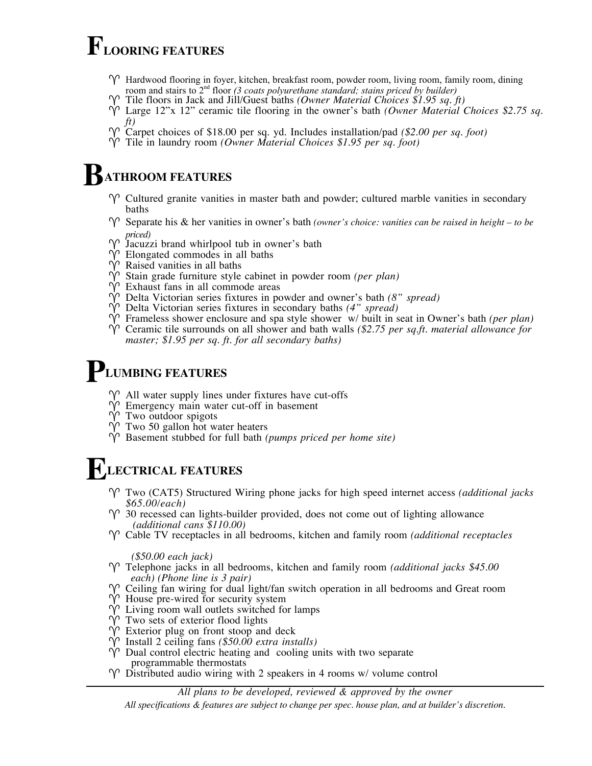### **FLOORING FEATURES**

- $\gamma$  Hardwood flooring in foyer, kitchen, breakfast room, powder room, living room, family room, dining room and stairs to 2<sup>nd</sup> floor *(3 coats polyurethane standard; stains priced by builder)*
- Tile floors in Jack and Jill/Guest baths *(Owner Material Choices \$1.95 sq. ft)*
- Large 12"x 12" ceramic tile flooring in the owner's bath *(Owner Material Choices \$2.75 sq. ft)*
- Carpet choices of \$18.00 per sq. yd. Includes installation/pad *(\$2.00 per sq. foot)*
- Tile in laundry room *(Owner Material Choices \$1.95 per sq. foot)*

#### **ATHROOM FEATURES B**

- $\gamma$  Cultured granite vanities in master bath and powder; cultured marble vanities in secondary baths
- $\gamma$  Separate his & her vanities in owner's bath *(owner's choice: vanities can be raised in height to be*
- priced)<br> *P* Jacuzzi brand whirlpool tub in owner's bath
- $\hat{V}$  Elongated commodes in all baths
- $\hat{Y}$  Raised vanities in all baths
- Stain grade furniture style cabinet in powder room *(per plan)*
- $\hat{V}$  Exhaust fans in all commode areas
- $\gamma$ <sup>2</sup> Delta Victorian series fixtures in powder and owner's bath *(8" spread)*
- Delta Victorian series fixtures in secondary baths *(4" spread)*
- Frameless shower enclosure and spa style shower w/ built in seat in Owner's bath *(per plan)*
- Ceramic tile surrounds on all shower and bath walls *(\$2.75 per sq.ft. material allowance for master; \$1.95 per sq. ft. for all secondary baths)*

#### **LUMBING FEATURES P**

- $\gamma$  All water supply lines under fixtures have cut-offs
- $\hat{Y}$  Emergency main water cut-off in basement
- $\hat{Y}$  Two outdoor spigots
- $\hat{Y}$  Two 50 gallon hot water heaters
- Basement stubbed for full bath *(pumps priced per home site)*

#### **LECTRICAL FEATURES E**

- Two (CAT5) Structured Wiring phone jacks for high speed internet access *(additional jacks \$65.00/each)*
- $\gamma$  30 recessed can lights-builder provided, does not come out of lighting allowance  *(additional cans \$110.00)*
- Cable TV receptacles in all bedrooms, kitchen and family room *(additional receptacles*

 *(\$50.00 each jack)*

- Telephone jacks in all bedrooms, kitchen and family room *(additional jacks \$45.00 each) (Phone line is 3 pair)*
- $\gamma$  Ceiling fan wiring for dual light/fan switch operation in all bedrooms and Great room
- $\hat{V}$  House pre-wired for security system
- $\hat{Y}$  Living room wall outlets switched for lamps
- $\hat{V}$  Two sets of exterior flood lights
- $\hat{Y}$  Exterior plug on front stoop and deck
- Install 2 ceiling fans *(\$50.00 extra installs)*
- $\hat{V}$  Dual control electric heating and cooling units with two separate programmable thermostats
- $\varphi$  Distributed audio wiring with 2 speakers in 4 rooms w/ volume control

#### *All plans to be developed, reviewed & approved by the owner*

*All specifications & features are subject to change per spec. house plan, and at builder's discretion.*